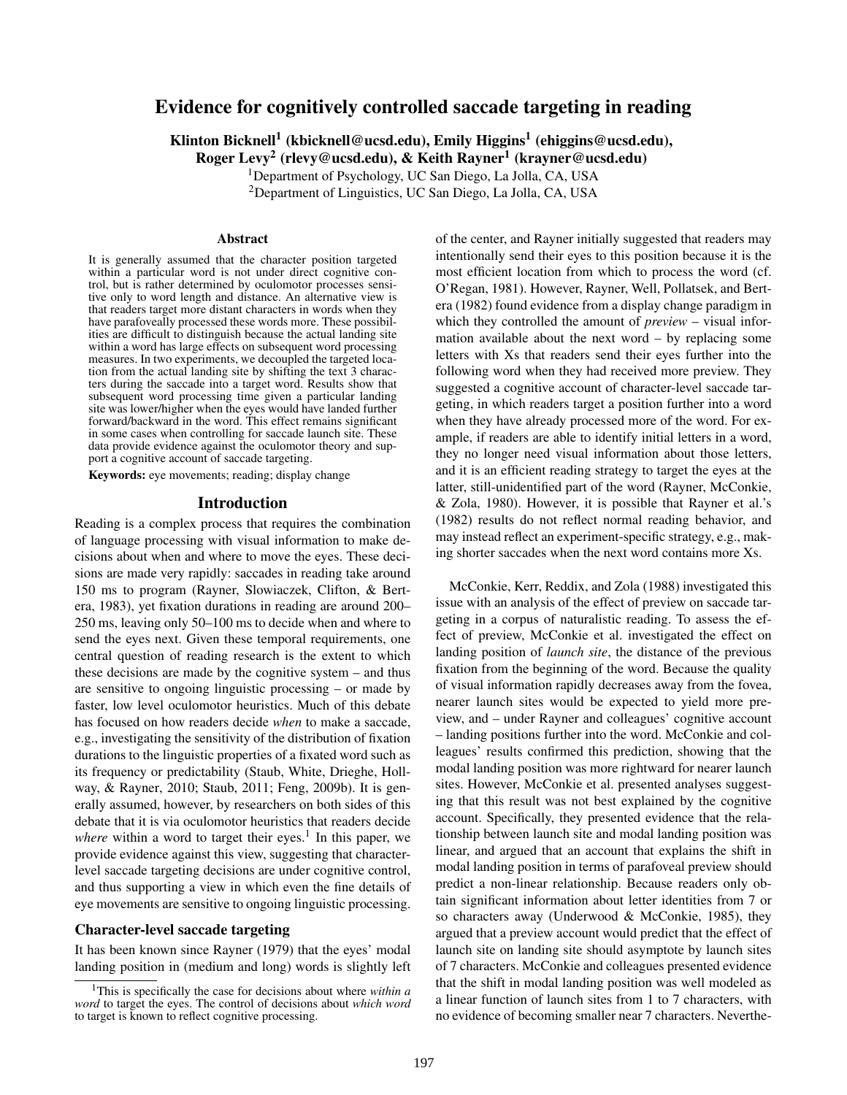# Evidence for cognitively controlled saccade targeting in reading

Klinton Bicknell $^1$  (kbicknell@ucsd.edu), Emily Higgins $^1$  (ehiggins@ucsd.edu),

Roger Levy $^2$  (rlevy@ucsd.edu), & Keith Rayner $^1$  (krayner@ucsd.edu)

<sup>1</sup>Department of Psychology, UC San Diego, La Jolla, CA, USA

<sup>2</sup>Department of Linguistics, UC San Diego, La Jolla, CA, USA

#### Abstract

It is generally assumed that the character position targeted within a particular word is not under direct cognitive control, but is rather determined by oculomotor processes sensitive only to word length and distance. An alternative view is that readers target more distant characters in words when they have parafoveally processed these words more. These possibilities are difficult to distinguish because the actual landing site within a word has large effects on subsequent word processing measures. In two experiments, we decoupled the targeted location from the actual landing site by shifting the text 3 characters during the saccade into a target word. Results show that subsequent word processing time given a particular landing site was lower/higher when the eyes would have landed further forward/backward in the word. This effect remains significant in some cases when controlling for saccade launch site. These data provide evidence against the oculomotor theory and support a cognitive account of saccade targeting.

Keywords: eye movements; reading; display change

#### Introduction

Reading is a complex process that requires the combination of language processing with visual information to make decisions about when and where to move the eyes. These decisions are made very rapidly: saccades in reading take around 150 ms to program (Rayner, Slowiaczek, Clifton, & Bertera, 1983), yet fixation durations in reading are around 200– 250 ms, leaving only 50–100 ms to decide when and where to send the eyes next. Given these temporal requirements, one central question of reading research is the extent to which these decisions are made by the cognitive system – and thus are sensitive to ongoing linguistic processing – or made by faster, low level oculomotor heuristics. Much of this debate has focused on how readers decide *when* to make a saccade, e.g., investigating the sensitivity of the distribution of fixation durations to the linguistic properties of a fixated word such as its frequency or predictability (Staub, White, Drieghe, Hollway, & Rayner, 2010; Staub, 2011; Feng, 2009b). It is generally assumed, however, by researchers on both sides of this debate that it is via oculomotor heuristics that readers decide where within a word to target their eyes.<sup>1</sup> In this paper, we provide evidence against this view, suggesting that characterlevel saccade targeting decisions are under cognitive control, and thus supporting a view in which even the fine details of eye movements are sensitive to ongoing linguistic processing.

#### Character-level saccade targeting

It has been known since Rayner (1979) that the eyes' modal landing position in (medium and long) words is slightly left of the center, and Rayner initially suggested that readers may intentionally send their eyes to this position because it is the most efficient location from which to process the word (cf. O'Regan, 1981). However, Rayner, Well, Pollatsek, and Bertera (1982) found evidence from a display change paradigm in which they controlled the amount of *preview* – visual information available about the next word – by replacing some letters with Xs that readers send their eyes further into the following word when they had received more preview. They suggested a cognitive account of character-level saccade targeting, in which readers target a position further into a word when they have already processed more of the word. For example, if readers are able to identify initial letters in a word, they no longer need visual information about those letters, and it is an efficient reading strategy to target the eyes at the latter, still-unidentified part of the word (Rayner, McConkie, & Zola, 1980). However, it is possible that Rayner et al.'s (1982) results do not reflect normal reading behavior, and may instead reflect an experiment-specific strategy, e.g., making shorter saccades when the next word contains more Xs.

McConkie, Kerr, Reddix, and Zola (1988) investigated this issue with an analysis of the effect of preview on saccade targeting in a corpus of naturalistic reading. To assess the effect of preview, McConkie et al. investigated the effect on landing position of *launch site*, the distance of the previous fixation from the beginning of the word. Because the quality of visual information rapidly decreases away from the fovea, nearer launch sites would be expected to yield more preview, and – under Rayner and colleagues' cognitive account – landing positions further into the word. McConkie and colleagues' results confirmed this prediction, showing that the modal landing position was more rightward for nearer launch sites. However, McConkie et al. presented analyses suggesting that this result was not best explained by the cognitive account. Specifically, they presented evidence that the relationship between launch site and modal landing position was linear, and argued that an account that explains the shift in modal landing position in terms of parafoveal preview should predict a non-linear relationship. Because readers only obtain significant information about letter identities from 7 or so characters away (Underwood & McConkie, 1985), they argued that a preview account would predict that the effect of launch site on landing site should asymptote by launch sites of 7 characters. McConkie and colleagues presented evidence that the shift in modal landing position was well modeled as a linear function of launch sites from 1 to 7 characters, with no evidence of becoming smaller near 7 characters. Neverthe-

<sup>1</sup>This is specifically the case for decisions about where *within a word* to target the eyes. The control of decisions about *which word* to target is known to reflect cognitive processing.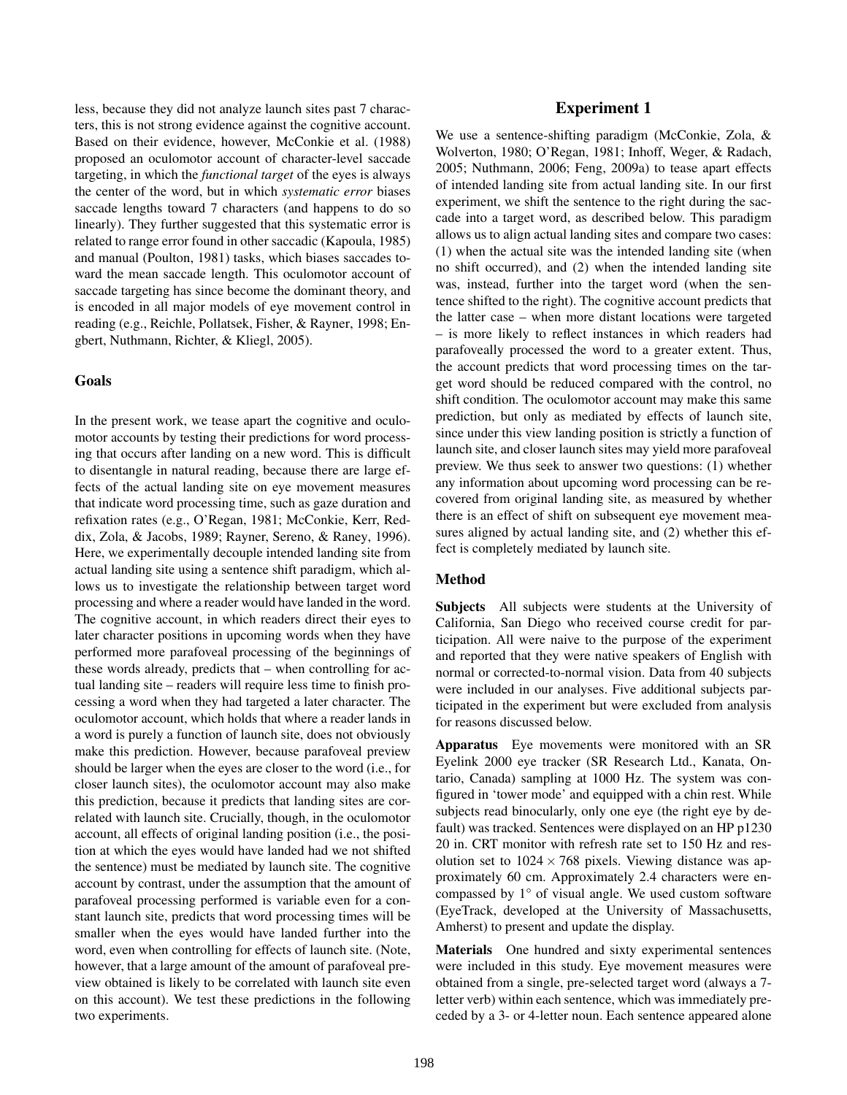less, because they did not analyze launch sites past 7 characters, this is not strong evidence against the cognitive account. Based on their evidence, however, McConkie et al. (1988) proposed an oculomotor account of character-level saccade targeting, in which the *functional target* of the eyes is always the center of the word, but in which *systematic error* biases saccade lengths toward 7 characters (and happens to do so linearly). They further suggested that this systematic error is related to range error found in other saccadic (Kapoula, 1985) and manual (Poulton, 1981) tasks, which biases saccades toward the mean saccade length. This oculomotor account of saccade targeting has since become the dominant theory, and is encoded in all major models of eye movement control in reading (e.g., Reichle, Pollatsek, Fisher, & Rayner, 1998; Engbert, Nuthmann, Richter, & Kliegl, 2005).

# Goals

In the present work, we tease apart the cognitive and oculomotor accounts by testing their predictions for word processing that occurs after landing on a new word. This is difficult to disentangle in natural reading, because there are large effects of the actual landing site on eye movement measures that indicate word processing time, such as gaze duration and refixation rates (e.g., O'Regan, 1981; McConkie, Kerr, Reddix, Zola, & Jacobs, 1989; Rayner, Sereno, & Raney, 1996). Here, we experimentally decouple intended landing site from actual landing site using a sentence shift paradigm, which allows us to investigate the relationship between target word processing and where a reader would have landed in the word. The cognitive account, in which readers direct their eyes to later character positions in upcoming words when they have performed more parafoveal processing of the beginnings of these words already, predicts that – when controlling for actual landing site – readers will require less time to finish processing a word when they had targeted a later character. The oculomotor account, which holds that where a reader lands in a word is purely a function of launch site, does not obviously make this prediction. However, because parafoveal preview should be larger when the eyes are closer to the word (i.e., for closer launch sites), the oculomotor account may also make this prediction, because it predicts that landing sites are correlated with launch site. Crucially, though, in the oculomotor account, all effects of original landing position (i.e., the position at which the eyes would have landed had we not shifted the sentence) must be mediated by launch site. The cognitive account by contrast, under the assumption that the amount of parafoveal processing performed is variable even for a constant launch site, predicts that word processing times will be smaller when the eyes would have landed further into the word, even when controlling for effects of launch site. (Note, however, that a large amount of the amount of parafoveal preview obtained is likely to be correlated with launch site even on this account). We test these predictions in the following two experiments.

# Experiment 1

We use a sentence-shifting paradigm (McConkie, Zola, & Wolverton, 1980; O'Regan, 1981; Inhoff, Weger, & Radach, 2005; Nuthmann, 2006; Feng, 2009a) to tease apart effects of intended landing site from actual landing site. In our first experiment, we shift the sentence to the right during the saccade into a target word, as described below. This paradigm allows us to align actual landing sites and compare two cases: (1) when the actual site was the intended landing site (when no shift occurred), and (2) when the intended landing site was, instead, further into the target word (when the sentence shifted to the right). The cognitive account predicts that the latter case – when more distant locations were targeted – is more likely to reflect instances in which readers had parafoveally processed the word to a greater extent. Thus, the account predicts that word processing times on the target word should be reduced compared with the control, no shift condition. The oculomotor account may make this same prediction, but only as mediated by effects of launch site, since under this view landing position is strictly a function of launch site, and closer launch sites may yield more parafoveal preview. We thus seek to answer two questions: (1) whether any information about upcoming word processing can be recovered from original landing site, as measured by whether there is an effect of shift on subsequent eye movement measures aligned by actual landing site, and (2) whether this effect is completely mediated by launch site.

#### Method

Subjects All subjects were students at the University of California, San Diego who received course credit for participation. All were naive to the purpose of the experiment and reported that they were native speakers of English with normal or corrected-to-normal vision. Data from 40 subjects were included in our analyses. Five additional subjects participated in the experiment but were excluded from analysis for reasons discussed below.

Apparatus Eye movements were monitored with an SR Eyelink 2000 eye tracker (SR Research Ltd., Kanata, Ontario, Canada) sampling at 1000 Hz. The system was configured in 'tower mode' and equipped with a chin rest. While subjects read binocularly, only one eye (the right eye by default) was tracked. Sentences were displayed on an HP p1230 20 in. CRT monitor with refresh rate set to 150 Hz and resolution set to  $1024 \times 768$  pixels. Viewing distance was approximately 60 cm. Approximately 2.4 characters were encompassed by 1° of visual angle. We used custom software (EyeTrack, developed at the University of Massachusetts, Amherst) to present and update the display.

Materials One hundred and sixty experimental sentences were included in this study. Eye movement measures were obtained from a single, pre-selected target word (always a 7 letter verb) within each sentence, which was immediately preceded by a 3- or 4-letter noun. Each sentence appeared alone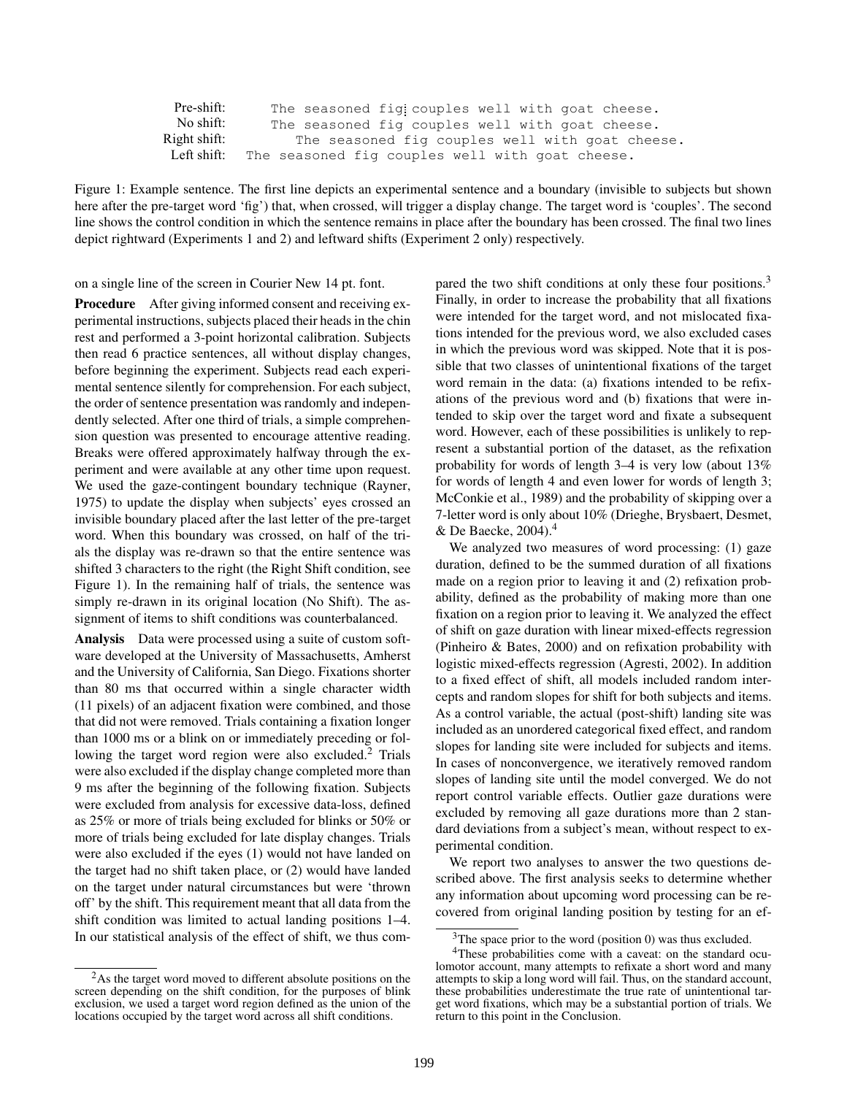| Pre-shift:   | The seasoned figicouples well with goat cheese. |
|--------------|-------------------------------------------------|
| No shift:    | The seasoned fig couples well with goat cheese. |
| Right shift: | The seasoned fig couples well with goat cheese. |
| Left shift:  | The seasoned fig couples well with goat cheese. |

Figure 1: Example sentence. The first line depicts an experimental sentence and a boundary (invisible to subjects but shown here after the pre-target word 'fig') that, when crossed, will trigger a display change. The target word is 'couples'. The second line shows the control condition in which the sentence remains in place after the boundary has been crossed. The final two lines depict rightward (Experiments 1 and 2) and leftward shifts (Experiment 2 only) respectively.

on a single line of the screen in Courier New 14 pt. font.

Procedure After giving informed consent and receiving experimental instructions, subjects placed their heads in the chin rest and performed a 3-point horizontal calibration. Subjects then read 6 practice sentences, all without display changes, before beginning the experiment. Subjects read each experimental sentence silently for comprehension. For each subject, the order of sentence presentation was randomly and independently selected. After one third of trials, a simple comprehension question was presented to encourage attentive reading. Breaks were offered approximately halfway through the experiment and were available at any other time upon request. We used the gaze-contingent boundary technique (Rayner, 1975) to update the display when subjects' eyes crossed an invisible boundary placed after the last letter of the pre-target word. When this boundary was crossed, on half of the trials the display was re-drawn so that the entire sentence was shifted 3 characters to the right (the Right Shift condition, see Figure 1). In the remaining half of trials, the sentence was simply re-drawn in its original location (No Shift). The assignment of items to shift conditions was counterbalanced.

Analysis Data were processed using a suite of custom software developed at the University of Massachusetts, Amherst and the University of California, San Diego. Fixations shorter than 80 ms that occurred within a single character width (11 pixels) of an adjacent fixation were combined, and those that did not were removed. Trials containing a fixation longer than 1000 ms or a blink on or immediately preceding or following the target word region were also excluded.<sup>2</sup> Trials were also excluded if the display change completed more than 9 ms after the beginning of the following fixation. Subjects were excluded from analysis for excessive data-loss, defined as 25% or more of trials being excluded for blinks or 50% or more of trials being excluded for late display changes. Trials were also excluded if the eyes (1) would not have landed on the target had no shift taken place, or (2) would have landed on the target under natural circumstances but were 'thrown off' by the shift. This requirement meant that all data from the shift condition was limited to actual landing positions 1–4. In our statistical analysis of the effect of shift, we thus compared the two shift conditions at only these four positions.<sup>3</sup> Finally, in order to increase the probability that all fixations were intended for the target word, and not mislocated fixations intended for the previous word, we also excluded cases in which the previous word was skipped. Note that it is possible that two classes of unintentional fixations of the target word remain in the data: (a) fixations intended to be refixations of the previous word and (b) fixations that were intended to skip over the target word and fixate a subsequent word. However, each of these possibilities is unlikely to represent a substantial portion of the dataset, as the refixation probability for words of length 3–4 is very low (about 13% for words of length 4 and even lower for words of length 3; McConkie et al., 1989) and the probability of skipping over a 7-letter word is only about 10% (Drieghe, Brysbaert, Desmet, & De Baecke, 2004).<sup>4</sup>

We analyzed two measures of word processing: (1) gaze duration, defined to be the summed duration of all fixations made on a region prior to leaving it and (2) refixation probability, defined as the probability of making more than one fixation on a region prior to leaving it. We analyzed the effect of shift on gaze duration with linear mixed-effects regression (Pinheiro & Bates, 2000) and on refixation probability with logistic mixed-effects regression (Agresti, 2002). In addition to a fixed effect of shift, all models included random intercepts and random slopes for shift for both subjects and items. As a control variable, the actual (post-shift) landing site was included as an unordered categorical fixed effect, and random slopes for landing site were included for subjects and items. In cases of nonconvergence, we iteratively removed random slopes of landing site until the model converged. We do not report control variable effects. Outlier gaze durations were excluded by removing all gaze durations more than 2 standard deviations from a subject's mean, without respect to experimental condition.

We report two analyses to answer the two questions described above. The first analysis seeks to determine whether any information about upcoming word processing can be recovered from original landing position by testing for an ef-

<sup>&</sup>lt;sup>2</sup>As the target word moved to different absolute positions on the screen depending on the shift condition, for the purposes of blink exclusion, we used a target word region defined as the union of the locations occupied by the target word across all shift conditions.

 $3$ The space prior to the word (position 0) was thus excluded.

<sup>&</sup>lt;sup>4</sup>These probabilities come with a caveat: on the standard oculomotor account, many attempts to refixate a short word and many attempts to skip a long word will fail. Thus, on the standard account, these probabilities underestimate the true rate of unintentional target word fixations, which may be a substantial portion of trials. We return to this point in the Conclusion.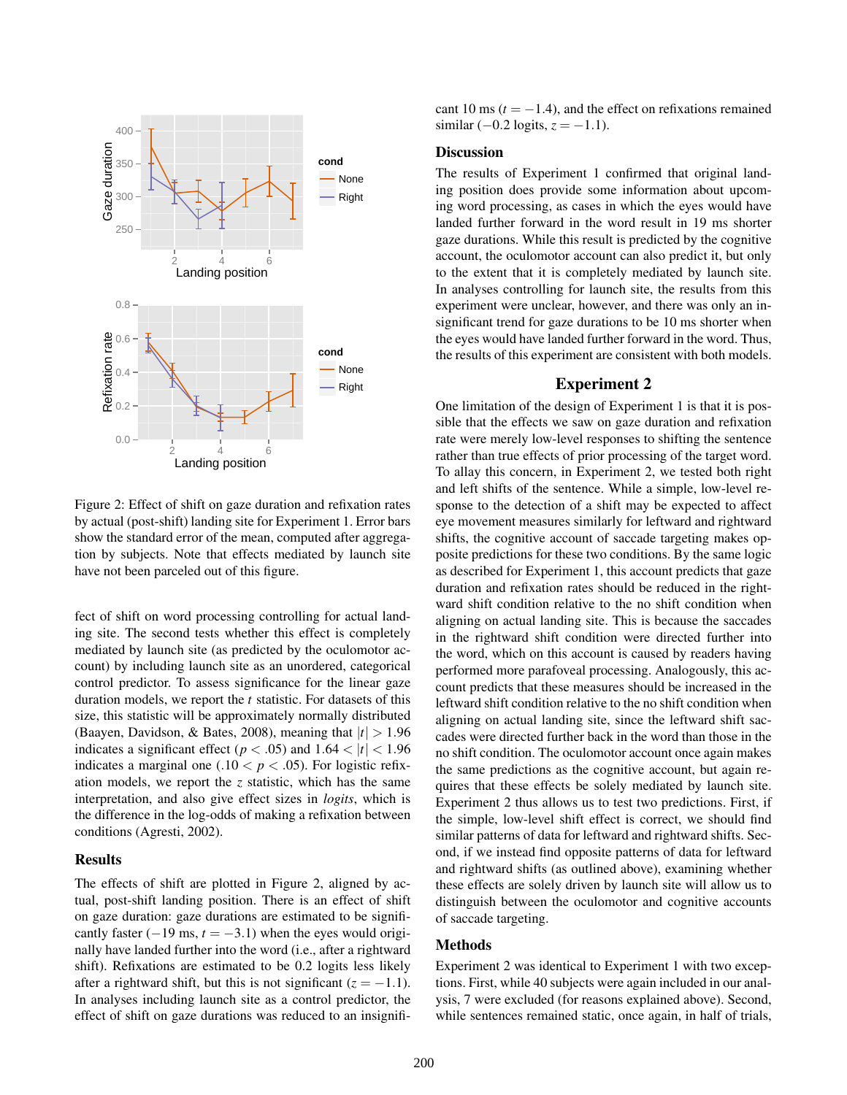

Figure 2: Effect of shift on gaze duration and refixation rates by actual (post-shift) landing site for Experiment 1. Error bars show the standard error of the mean, computed after aggregation by subjects. Note that effects mediated by launch site have not been parceled out of this figure.

fect of shift on word processing controlling for actual landing site. The second tests whether this effect is completely mediated by launch site (as predicted by the oculomotor account) by including launch site as an unordered, categorical control predictor. To assess significance for the linear gaze duration models, we report the *t* statistic. For datasets of this size, this statistic will be approximately normally distributed (Baayen, Davidson, & Bates, 2008), meaning that  $|t| > 1.96$ indicates a significant effect ( $p < .05$ ) and  $1.64 < |t| < 1.96$ indicates a marginal one  $(.10 < p < .05)$ . For logistic refixation models, we report the *z* statistic, which has the same interpretation, and also give effect sizes in *logits*, which is the difference in the log-odds of making a refixation between conditions (Agresti, 2002).

# Results

The effects of shift are plotted in Figure 2, aligned by actual, post-shift landing position. There is an effect of shift on gaze duration: gaze durations are estimated to be significantly faster  $(-19 \text{ ms}, t = -3.1)$  when the eyes would originally have landed further into the word (i.e., after a rightward shift). Refixations are estimated to be 0.2 logits less likely after a rightward shift, but this is not significant  $(z = -1.1)$ . In analyses including launch site as a control predictor, the effect of shift on gaze durations was reduced to an insignificant 10 ms  $(t = -1.4)$ , and the effect on refixations remained similar  $(-0.2 \text{ logits}, z = -1.1)$ .

#### **Discussion**

The results of Experiment 1 confirmed that original landing position does provide some information about upcoming word processing, as cases in which the eyes would have landed further forward in the word result in 19 ms shorter gaze durations. While this result is predicted by the cognitive account, the oculomotor account can also predict it, but only to the extent that it is completely mediated by launch site. In analyses controlling for launch site, the results from this experiment were unclear, however, and there was only an insignificant trend for gaze durations to be 10 ms shorter when the eyes would have landed further forward in the word. Thus, the results of this experiment are consistent with both models.

# Experiment 2

One limitation of the design of Experiment 1 is that it is possible that the effects we saw on gaze duration and refixation rate were merely low-level responses to shifting the sentence rather than true effects of prior processing of the target word. To allay this concern, in Experiment 2, we tested both right and left shifts of the sentence. While a simple, low-level response to the detection of a shift may be expected to affect eye movement measures similarly for leftward and rightward shifts, the cognitive account of saccade targeting makes opposite predictions for these two conditions. By the same logic as described for Experiment 1, this account predicts that gaze duration and refixation rates should be reduced in the rightward shift condition relative to the no shift condition when aligning on actual landing site. This is because the saccades in the rightward shift condition were directed further into the word, which on this account is caused by readers having performed more parafoveal processing. Analogously, this account predicts that these measures should be increased in the leftward shift condition relative to the no shift condition when aligning on actual landing site, since the leftward shift saccades were directed further back in the word than those in the no shift condition. The oculomotor account once again makes the same predictions as the cognitive account, but again requires that these effects be solely mediated by launch site. Experiment 2 thus allows us to test two predictions. First, if the simple, low-level shift effect is correct, we should find similar patterns of data for leftward and rightward shifts. Second, if we instead find opposite patterns of data for leftward and rightward shifts (as outlined above), examining whether these effects are solely driven by launch site will allow us to distinguish between the oculomotor and cognitive accounts of saccade targeting.

#### Methods

Experiment 2 was identical to Experiment 1 with two exceptions. First, while 40 subjects were again included in our analysis, 7 were excluded (for reasons explained above). Second, while sentences remained static, once again, in half of trials,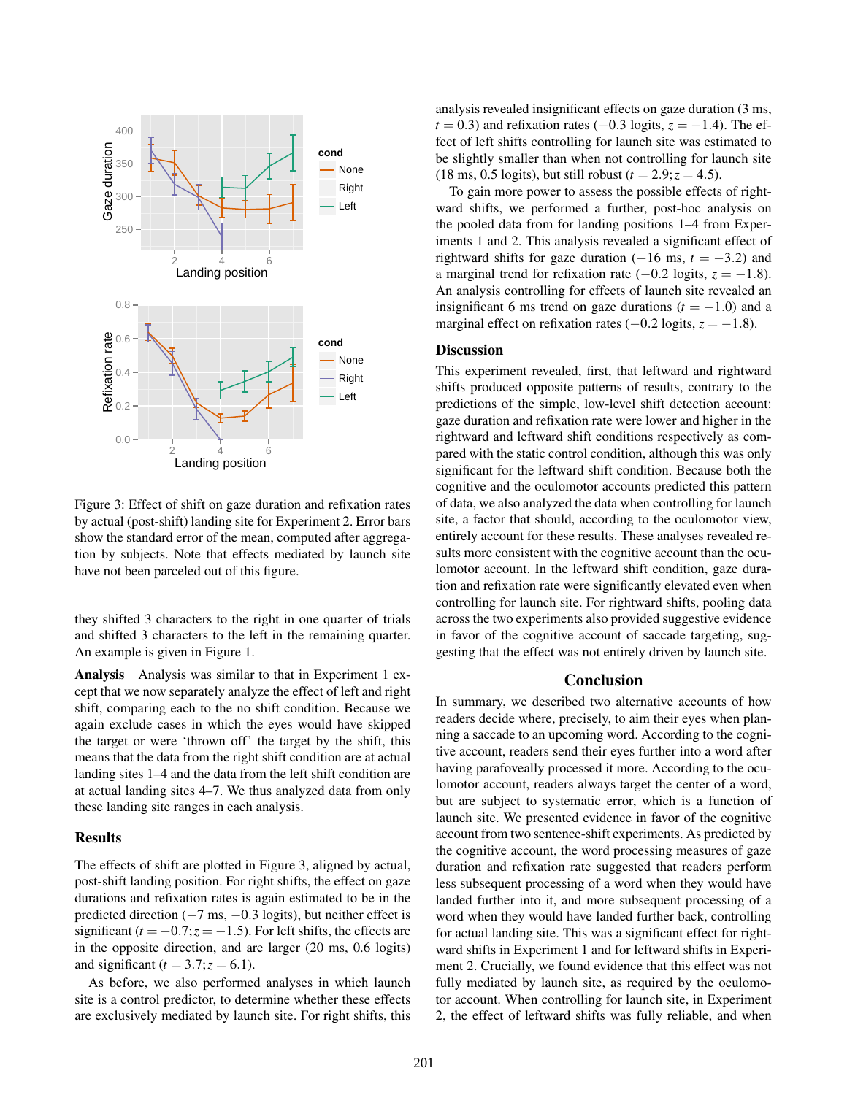

Figure 3: Effect of shift on gaze duration and refixation rates by actual (post-shift) landing site for Experiment 2. Error bars show the standard error of the mean, computed after aggregation by subjects. Note that effects mediated by launch site have not been parceled out of this figure.

they shifted 3 characters to the right in one quarter of trials and shifted 3 characters to the left in the remaining quarter. An example is given in Figure 1.

Analysis Analysis was similar to that in Experiment 1 except that we now separately analyze the effect of left and right shift, comparing each to the no shift condition. Because we again exclude cases in which the eyes would have skipped the target or were 'thrown off' the target by the shift, this means that the data from the right shift condition are at actual landing sites 1–4 and the data from the left shift condition are at actual landing sites 4–7. We thus analyzed data from only these landing site ranges in each analysis.

#### Results

The effects of shift are plotted in Figure 3, aligned by actual, post-shift landing position. For right shifts, the effect on gaze durations and refixation rates is again estimated to be in the predicted direction  $(-7 \text{ ms}, -0.3 \text{ logits})$ , but neither effect is significant  $(t = -0.7; z = -1.5)$ . For left shifts, the effects are in the opposite direction, and are larger (20 ms, 0.6 logits) and significant ( $t = 3.7$ ;  $z = 6.1$ ).

As before, we also performed analyses in which launch site is a control predictor, to determine whether these effects are exclusively mediated by launch site. For right shifts, this analysis revealed insignificant effects on gaze duration (3 ms,  $t = 0.3$ ) and refixation rates (−0.3 logits,  $z = -1.4$ ). The effect of left shifts controlling for launch site was estimated to be slightly smaller than when not controlling for launch site  $(18 \text{ ms}, 0.5 \text{ logits})$ , but still robust  $(t = 2.9; z = 4.5)$ .

To gain more power to assess the possible effects of rightward shifts, we performed a further, post-hoc analysis on the pooled data from for landing positions 1–4 from Experiments 1 and 2. This analysis revealed a significant effect of rightward shifts for gaze duration  $(-16 \text{ ms}, t = -3.2)$  and a marginal trend for refixation rate  $(-0.2 \text{ logits}, z = -1.8)$ . An analysis controlling for effects of launch site revealed an insignificant 6 ms trend on gaze durations  $(t = -1.0)$  and a marginal effect on refixation rates  $(-0.2 \text{ logits}, z = -1.8)$ .

#### **Discussion**

This experiment revealed, first, that leftward and rightward shifts produced opposite patterns of results, contrary to the predictions of the simple, low-level shift detection account: gaze duration and refixation rate were lower and higher in the rightward and leftward shift conditions respectively as compared with the static control condition, although this was only significant for the leftward shift condition. Because both the cognitive and the oculomotor accounts predicted this pattern of data, we also analyzed the data when controlling for launch site, a factor that should, according to the oculomotor view, entirely account for these results. These analyses revealed results more consistent with the cognitive account than the oculomotor account. In the leftward shift condition, gaze duration and refixation rate were significantly elevated even when controlling for launch site. For rightward shifts, pooling data across the two experiments also provided suggestive evidence in favor of the cognitive account of saccade targeting, suggesting that the effect was not entirely driven by launch site.

### Conclusion

In summary, we described two alternative accounts of how readers decide where, precisely, to aim their eyes when planning a saccade to an upcoming word. According to the cognitive account, readers send their eyes further into a word after having parafoveally processed it more. According to the oculomotor account, readers always target the center of a word, but are subject to systematic error, which is a function of launch site. We presented evidence in favor of the cognitive account from two sentence-shift experiments. As predicted by the cognitive account, the word processing measures of gaze duration and refixation rate suggested that readers perform less subsequent processing of a word when they would have landed further into it, and more subsequent processing of a word when they would have landed further back, controlling for actual landing site. This was a significant effect for rightward shifts in Experiment 1 and for leftward shifts in Experiment 2. Crucially, we found evidence that this effect was not fully mediated by launch site, as required by the oculomotor account. When controlling for launch site, in Experiment 2, the effect of leftward shifts was fully reliable, and when